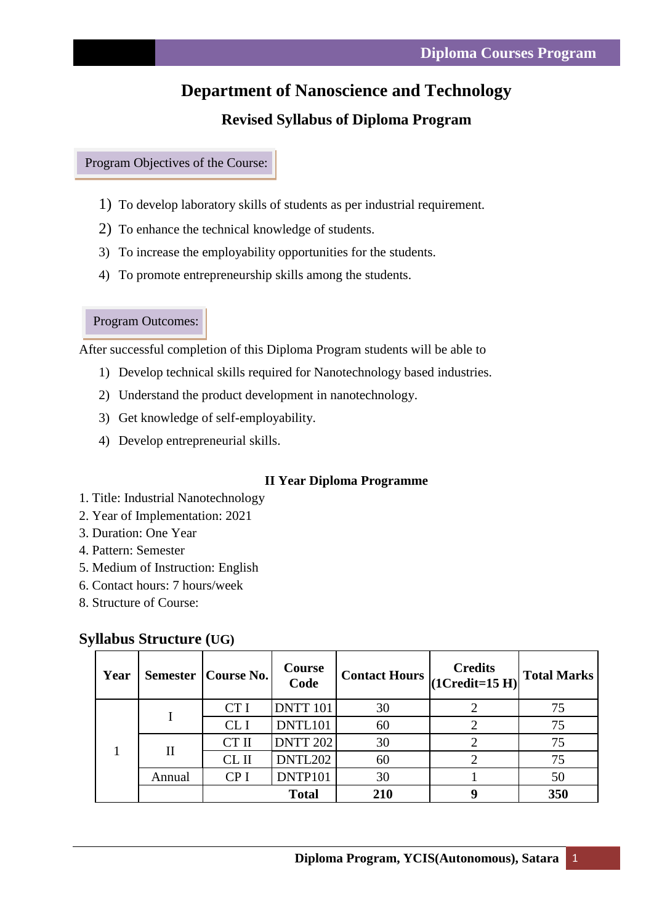# **Department of Nanoscience and Technology**

## **Revised Syllabus of Diploma Program**

Program Objectives of the Course:

- 1) To develop laboratory skills of students as per industrial requirement.
- 2) To enhance the technical knowledge of students.
- 3) To increase the employability opportunities for the students.
- 4) To promote entrepreneurship skills among the students.

Program Outcomes:

After successful completion of this Diploma Program students will be able to

- 1) Develop technical skills required for Nanotechnology based industries.
- 2) Understand the product development in nanotechnology.
- 3) Get knowledge of self-employability.
- 4) Develop entrepreneurial skills.

#### **II Year Diploma Programme**

- 1. Title: Industrial Nanotechnology
- 2. Year of Implementation: 2021
- 3. Duration: One Year
- 4. Pattern: Semester
- 5. Medium of Instruction: English
- 6. Contact hours: 7 hours/week
- 8. Structure of Course:

| Year | <b>Semester</b> | <b>Course No.</b> | <b>Course</b><br>Code | <b>Contact Hours</b> | <b>Credits</b><br>$(1Credit=15 H)$ | <b>Total Marks</b> |
|------|-----------------|-------------------|-----------------------|----------------------|------------------------------------|--------------------|
|      |                 | CT I              | <b>DNTT 101</b>       | 30                   |                                    | 75                 |
|      |                 | CL <sub>I</sub>   | DNTL101               | 60                   |                                    | 75                 |
|      | П               | CT II             | <b>DNTT 202</b>       | 30                   |                                    | 75                 |
|      |                 | $CL$ II           | DNTL202               | 60                   |                                    | 75                 |
|      | Annual          | CP <sub>I</sub>   | DNTP101               | 30                   |                                    | 50                 |
|      |                 |                   | <b>Total</b>          | 210                  |                                    | 350                |

#### **Syllabus Structure (UG)**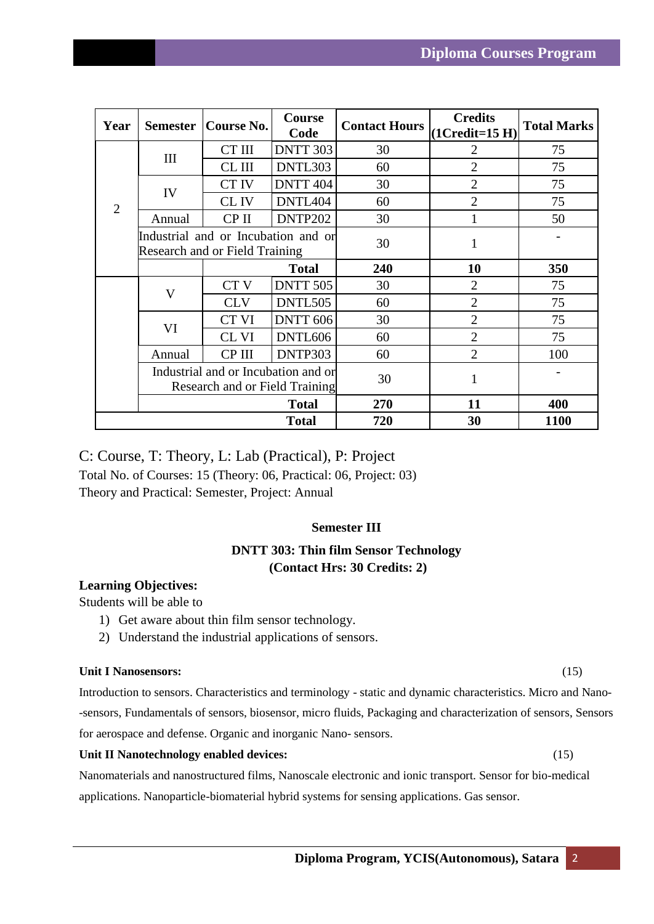| Year           | <b>Semester</b>                                                              | Course No.      | Course<br>Code  | <b>Contact Hours</b> | <b>Credits</b><br>$(1Credit=15 H)$ | <b>Total Marks</b> |
|----------------|------------------------------------------------------------------------------|-----------------|-----------------|----------------------|------------------------------------|--------------------|
| $\overline{2}$ | III                                                                          | CT III          | <b>DNTT 303</b> | 30                   | $\overline{2}$                     | 75                 |
|                |                                                                              | CL III          | DNTL303         | 60                   | $\overline{2}$                     | 75                 |
|                | IV                                                                           | CT IV           | DNTT 404        | 30                   | $\overline{2}$                     | 75                 |
|                |                                                                              | CL IV           | DNTL404         | 60                   | $\overline{2}$                     | 75                 |
|                | Annual                                                                       | CP II           | DNTP202         | 30                   |                                    | 50                 |
|                | Industrial and or Incubation and or<br><b>Research and or Field Training</b> |                 |                 | 30                   | 1                                  |                    |
|                |                                                                              |                 | <b>Total</b>    | 240                  | 10                                 | 350                |
|                | $\mathbf{V}$                                                                 | CT <sub>V</sub> | <b>DNTT 505</b> | 30                   | $\overline{2}$                     | 75                 |
|                |                                                                              | <b>CLV</b>      | DNTL505         | 60                   | $\overline{2}$                     | 75                 |
|                | VI                                                                           | CT VI           | <b>DNTT 606</b> | 30                   | $\overline{2}$                     | 75                 |
|                |                                                                              | CL VI           | DNTL606         | 60                   | $\overline{2}$                     | 75                 |
|                | Annual                                                                       | CP III          | DNTP303         | 60                   | $\overline{2}$                     | 100                |
|                | Industrial and or Incubation and or<br>Research and or Field Training        |                 |                 | 30                   | 1                                  |                    |
|                |                                                                              |                 | <b>Total</b>    | 270                  | 11                                 | 400                |
|                |                                                                              |                 | <b>Total</b>    | 720                  | 30                                 | 1100               |

C: Course, T: Theory, L: Lab (Practical), P: Project Total No. of Courses: 15 (Theory: 06, Practical: 06, Project: 03) Theory and Practical: Semester, Project: Annual

### **Semester III**

## **DNTT 303: Thin film Sensor Technology (Contact Hrs: 30 Credits: 2)**

#### **Learning Objectives:**

Students will be able to

- 1) Get aware about thin film sensor technology.
- 2) Understand the industrial applications of sensors.

#### **Unit I Nanosensors:** (15)

Introduction to sensors. Characteristics and terminology - static and dynamic characteristics. Micro and Nano- -sensors, Fundamentals of sensors, biosensor, micro fluids, Packaging and characterization of sensors, Sensors for aerospace and defense. Organic and inorganic Nano- sensors.

#### **Unit II Nanotechnology enabled devices:** (15)

Nanomaterials and nanostructured films, Nanoscale electronic and ionic transport. Sensor for bio-medical applications. Nanoparticle-biomaterial hybrid systems for sensing applications. Gas sensor.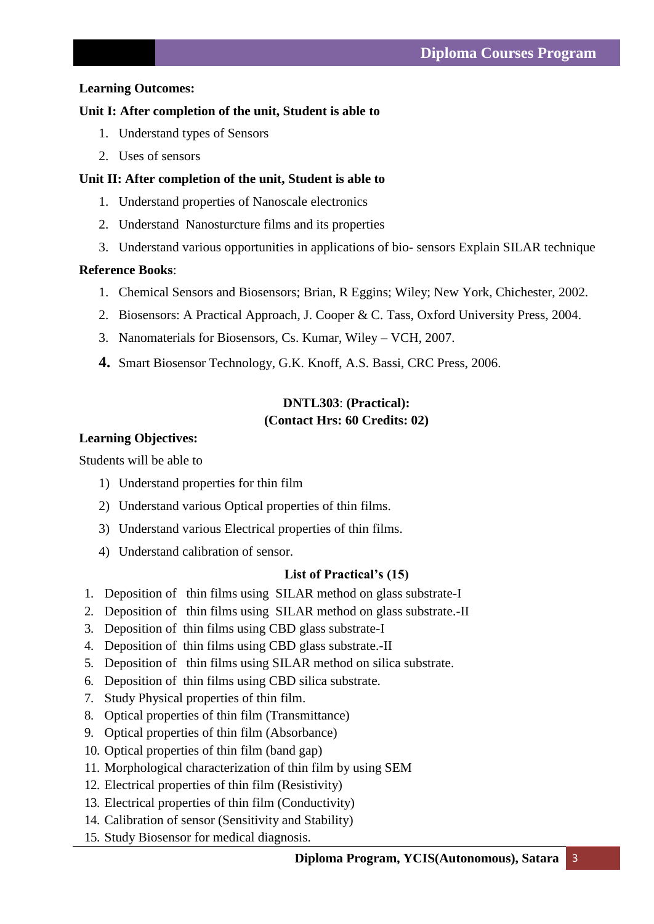#### **Learning Outcomes:**

#### **Unit I: After completion of the unit, Student is able to**

- 1. Understand types of Sensors
- 2. Uses of sensors

#### **Unit II: After completion of the unit, Student is able to**

- 1. Understand properties of Nanoscale electronics
- 2. Understand Nanosturcture films and its properties
- 3. Understand various opportunities in applications of bio- sensors Explain SILAR technique

#### **Reference Books**:

- 1. Chemical Sensors and Biosensors; Brian, R Eggins; Wiley; New York, Chichester, 2002.
- 2. Biosensors: A Practical Approach, J. Cooper & C. Tass, Oxford University Press, 2004.
- 3. Nanomaterials for Biosensors, Cs. Kumar, Wiley VCH, 2007.
- **4.** Smart Biosensor Technology, G.K. Knoff, A.S. Bassi, CRC Press, 2006.

## **DNTL303**: **(Practical): (Contact Hrs: 60 Credits: 02)**

#### **Learning Objectives:**

Students will be able to

- 1) Understand properties for thin film
- 2) Understand various Optical properties of thin films.
- 3) Understand various Electrical properties of thin films.
- 4) Understand calibration of sensor.

#### **List of Practical's (15)**

- 1. Deposition of thin films using SILAR method on glass substrate-I
- 2. Deposition of thin films using SILAR method on glass substrate.-II
- 3. Deposition of thin films using CBD glass substrate-I
- 4. Deposition of thin films using CBD glass substrate.-II
- 5. Deposition of thin films using SILAR method on silica substrate.
- 6. Deposition of thin films using CBD silica substrate.
- 7. Study Physical properties of thin film.
- 8. Optical properties of thin film (Transmittance)
- 9. Optical properties of thin film (Absorbance)
- 10. Optical properties of thin film (band gap)
- 11. Morphological characterization of thin film by using SEM
- 12. Electrical properties of thin film (Resistivity)
- 13. Electrical properties of thin film (Conductivity)
- 14. Calibration of sensor (Sensitivity and Stability)
- 15. Study Biosensor for medical diagnosis.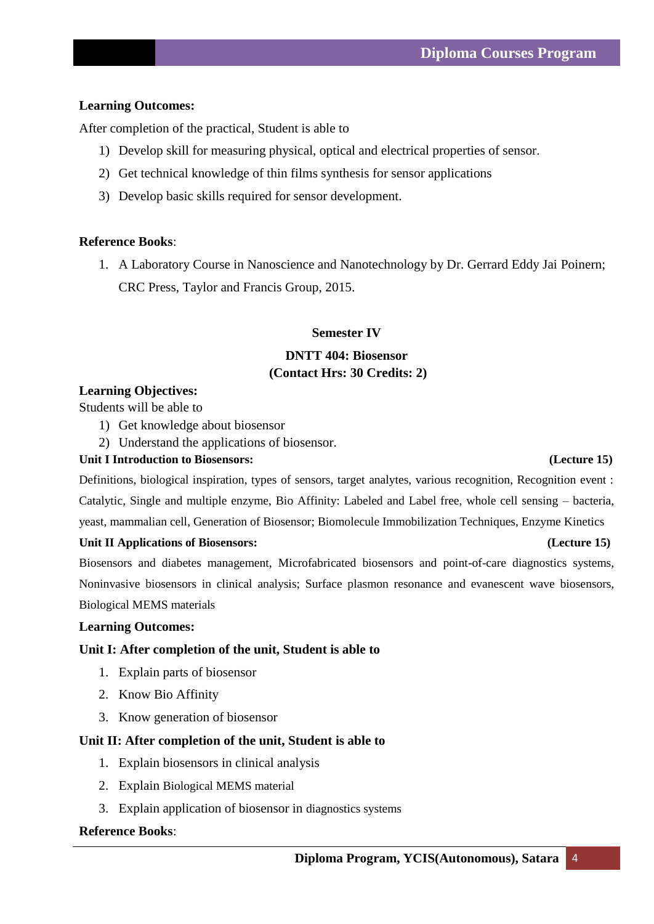### **Learning Outcomes:**

After completion of the practical, Student is able to

- 1) Develop skill for measuring physical, optical and electrical properties of sensor.
- 2) Get technical knowledge of thin films synthesis for sensor applications
- 3) Develop basic skills required for sensor development.

#### **Reference Books**:

1. A Laboratory Course in Nanoscience and Nanotechnology by Dr. Gerrard Eddy Jai Poinern; CRC Press, Taylor and Francis Group, 2015.

#### **Semester IV**

## **DNTT 404: Biosensor (Contact Hrs: 30 Credits: 2)**

#### **Learning Objectives:**

Students will be able to

- 1) Get knowledge about biosensor
- 2) Understand the applications of biosensor.

#### **Unit I Introduction to Biosensors: (Lecture 15)**

Definitions, biological inspiration, types of sensors, target analytes, various recognition, Recognition event : Catalytic, Single and multiple enzyme, Bio Affinity: Labeled and Label free, whole cell sensing – bacteria, yeast, mammalian cell, Generation of Biosensor; Biomolecule Immobilization Techniques, Enzyme Kinetics

#### Unit II Applications of Biosensors: (Lecture 15)

Biosensors and diabetes management, Microfabricated biosensors and point-of-care diagnostics systems, Noninvasive biosensors in clinical analysis; Surface plasmon resonance and evanescent wave biosensors, Biological MEMS materials

#### **Learning Outcomes:**

#### **Unit I: After completion of the unit, Student is able to**

- 1. Explain parts of biosensor
- 2. Know Bio Affinity
- 3. Know generation of biosensor

#### **Unit II: After completion of the unit, Student is able to**

- 1. Explain biosensors in clinical analysis
- 2. Explain Biological MEMS material
- 3. Explain application of biosensor in diagnostics systems

#### **Reference Books**: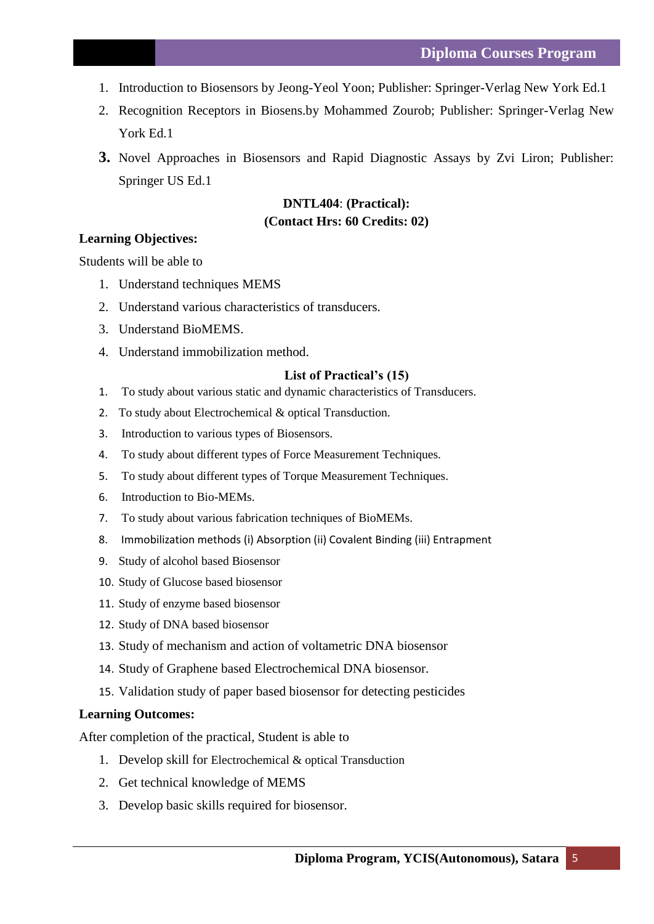- 1. Introduction to Biosensors by Jeong-Yeol Yoon; Publisher: Springer-Verlag New York Ed.1
- 2. Recognition Receptors in Biosens.by Mohammed Zourob; Publisher: Springer-Verlag New York Ed.1
- **3.** Novel Approaches in Biosensors and Rapid Diagnostic Assays by Zvi Liron; Publisher: Springer US Ed.1

## **DNTL404**: **(Practical): (Contact Hrs: 60 Credits: 02)**

#### **Learning Objectives:**

Students will be able to

- 1. Understand techniques MEMS
- 2. Understand various characteristics of transducers.
- 3. Understand BioMEMS.
- 4. Understand immobilization method.

#### **List of Practical's (15)**

- 1. To study about various static and dynamic characteristics of Transducers.
- 2. To study about Electrochemical & optical Transduction.
- 3. Introduction to various types of Biosensors.
- 4. To study about different types of Force Measurement Techniques.
- 5. To study about different types of Torque Measurement Techniques.
- 6. Introduction to Bio-MEMs.
- 7. To study about various fabrication techniques of BioMEMs.
- 8. Immobilization methods (i) Absorption (ii) Covalent Binding (iii) Entrapment
- 9. Study of alcohol based Biosensor
- 10. Study of Glucose based biosensor
- 11. Study of enzyme based biosensor
- 12. Study of DNA based biosensor
- 13. Study of mechanism and action of voltametric DNA biosensor
- 14. Study of Graphene based Electrochemical DNA biosensor.
- 15. Validation study of paper based biosensor for detecting pesticides

#### **Learning Outcomes:**

After completion of the practical, Student is able to

- 1. Develop skill for Electrochemical & optical Transduction
- 2. Get technical knowledge of MEMS
- 3. Develop basic skills required for biosensor.